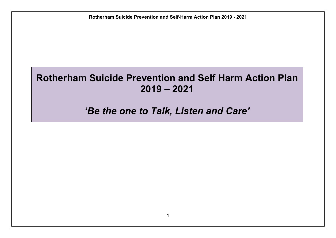## **Rotherham Suicide Prevention and Self Harm Action Plan 2019 – 2021**

## *'Be the one to Talk, Listen and Care'*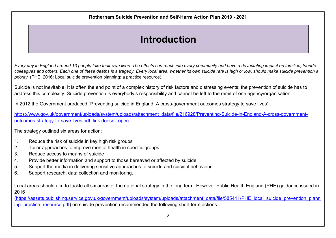## **Introduction**

Every day in England around 13 people take their own lives. The effects can reach into every community and have a devastating impact on families, friends, colleagues and others. Each one of these deaths is a tragedy. Every local area, whether its own suicide rate is high or low, should make suicide prevention a *priority* (PHE, 2016: Local suicide prevention planning: a practice resource).

Suicide is not inevitable. It is often the end point of a complex history of risk factors and distressing events; the prevention of suicide has to address this complexity. Suicide prevention is everybody's responsibility and cannot be left to the remit of one agency/organisation.

In 2012 the Government produced "Preventing suicide in England. A cross-government outcomes strategy to save lives":

[https://www.gov.uk/government/uploads/system/uploads/attachment\\_data/file/216928/Preventing-Suicide-in-England-A-cross-government](https://www.gov.uk/government/uploads/system/uploads/attachment_data/file/216928/Preventing-Suicide-in-England-A-cross-government-outcomes-strategy-to-save-lives.pdf)[outcomes-strategy-to-save-lives.pdf](https://www.gov.uk/government/uploads/system/uploads/attachment_data/file/216928/Preventing-Suicide-in-England-A-cross-government-outcomes-strategy-to-save-lives.pdf) link doesn't open

The strategy outlined six areas for action:

- 1. Reduce the risk of suicide in key high risk groups
- 2. Tailor approaches to improve mental health in specific groups
- 3. Reduce access to means of suicide
- 4. Provide better information and support to those bereaved or affected by suicide
- 5. Support the media in delivering sensitive approaches to suicide and suicidal behaviour
- 6. Support research, data collection and monitoring.

Local areas should aim to tackle all six areas of the national strategy in the long term. However Public Health England (PHE) guidance issued in 2016

([https://assets.publishing.service.gov.uk/government/uploads/system/uploads/attachment\\_data/file/585411/PHE\\_local\\_suicide\\_prevention\\_plann](https://assets.publishing.service.gov.uk/government/uploads/system/uploads/attachment_data/file/585411/PHE_local_suicide_prevention_planning_practice_resource.pdf) ing practice resource.pdf) on suicide prevention recommended the following short term actions: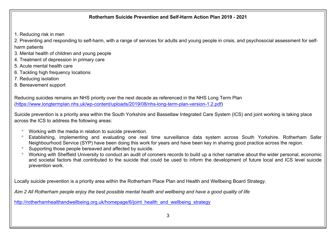1. Reducing risk in men

2. Preventing and responding to self-harm, with a range of services for adults and young people in crisis, and psychosocial assessment for selfharm patients

- 3. Mental health of children and young people
- 4. Treatment of depression in primary care
- 5. Acute mental health care
- 6. Tackling high frequency locations
- 7. Reducing isolation
- 8. Bereavement support

Reducing suicides remains an NHS priority over the next decade as referenced in the NHS Long Term Plan ([https://www.longtermplan.nhs.uk/wp-content/uploads/2019/08/nhs-long-term-plan-version-1.2.pdf\)](https://www.longtermplan.nhs.uk/wp-content/uploads/2019/08/nhs-long-term-plan-version-1.2.pdf)

Suicide prevention is a priority area within the South Yorkshire and Bassetlaw Integrated Care System (ICS) and joint working is taking place across the ICS to address the following areas:

- Working with the media in relation to suicide prevention.
- Establishing, implementing and evaluating one real time surveillance data system across South Yorkshire. Rotherham Safer Neighbourhood Service (SYP) have been doing this work for years and have been key in sharing good practice across the region.
- <sup>o</sup> Supporting those people bereaved and affected by suicide.
- Working with Sheffield University to conduct an audit of coroners records to build up a richer narrative about the wider personal, economic and societal factors that contributed to the suicide that could be used to inform the development of future local and ICS level suicide prevention work.

Locally suicide prevention is a priority area within the Rotherham Place Plan and Health and Wellbeing Board Strategy.

Aim 2 All Rotherham people enjoy the best possible mental health and wellbeing and have a good quality of life

[http://rotherhamhealthandwellbeing.org.uk/homepage/6/joint\\_health\\_and\\_wellbeing\\_strategy](http://rotherhamhealthandwellbeing.org.uk/homepage/6/joint_health_and_wellbeing_strategy)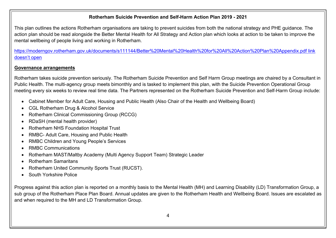This plan outlines the actions Rotherham organisations are taking to prevent suicides from both the national strategy and PHE guidance. The action plan should be read alongside the Better Mental Health for All Strategy and Action plan which looks at action to be taken to improve the mental wellbeing of people living and working in Rotherham.

<https://moderngov.rotherham.gov.uk/documents/s111144/Better%20Mental%20Health%20for%20All%20Action%20Plan%20Appendix.pdf> link doesn't open

## **Governance arrangements**

Rotherham takes suicide prevention seriously. The Rotherham Suicide Prevention and Self Harm Group meetings are chaired by a Consultant in Public Health. The multi-agency group meets bimonthly and is tasked to implement this plan, with the Suicide Prevention Operational Group meeting every six weeks to review real time data. The Partners represented on the Rotherham Suicide Prevention and Self-Harm Group include:

- Cabinet Member for Adult Care, Housing and Public Health (Also Chair of the Health and Wellbeing Board)
- CGL Rotherham Drug & Alcohol Service
- Rotherham Clinical Commissioning Group (RCCG)
- RDaSH (mental health provider)
- Rotherham NHS Foundation Hospital Trust
- RMBC- Adult Care, Housing and Public Health
- RMBC Children and Young People's Services
- RMBC Communications
- Rotherham MAST/Maltby Academy (Multi Agency Support Team) Strategic Leader
- Rotherham Samaritans
- Rotherham United Community Sports Trust (RUCST).
- South Yorkshire Police

Progress against this action plan is reported on a monthly basis to the Mental Health (MH) and Learning Disability (LD) Transformation Group, a sub group of the Rotherham Place Plan Board. Annual updates are given to the Rotherham Health and Wellbeing Board. Issues are escalated as and when required to the MH and LD Transformation Group.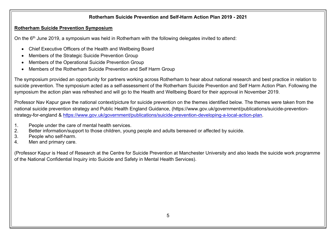## **Rotherham Suicide Prevention Symposium**

On the 6<sup>th</sup> June 2019, a symposium was held in Rotherham with the following delegates invited to attend:

- Chief Executive Officers of the Health and Wellbeing Board
- Members of the Strategic Suicide Prevention Group
- Members of the Operational Suicide Prevention Group
- Members of the Rotherham Suicide Prevention and Self Harm Group

The symposium provided an opportunity for partners working across Rotherham to hear about national research and best practice in relation to suicide prevention. The symposium acted as a self-assessment of the Rotherham Suicide Prevention and Self Harm Action Plan. Following the symposium the action plan was refreshed and will go to the Health and Wellbeing Board for their approval in November 2019.

Professor Nav Kapur gave the national context/picture for suicide prevention on the themes identified below. The themes were taken from the national suicide prevention strategy and Public Health England Guidance, (https://www.gov.uk/government/publications/suicide-preventionstrategy-for-england & [https://www.gov.uk/government/publications/suicide-prevention-developing-a-local-action-plan.](https://www.gov.uk/government/publications/suicide-prevention-developing-a-local-action-plan)

- 1. People under the care of mental health services.
- 2. Better information/support to those children, young people and adults bereaved or affected by suicide.
- 3. People who self-harm.
- 4. Men and primary care.

(Professor Kapur is Head of Research at the Centre for Suicide Prevention at Manchester University and also leads the suicide work programme of the National Confidential Inquiry into Suicide and Safety in Mental Health Services).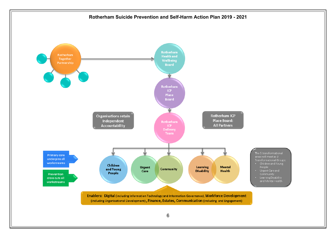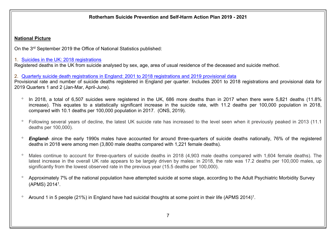## **National Picture**

On the 3<sup>rd</sup> September 2019 the Office of National Statistics published:

## 1. Suicides in the UK: 2018 [registrations](https://www.ons.gov.uk/peoplepopulationandcommunity/birthsdeathsandmarriages/deaths/bulletins/suicidesintheunitedkingdom/previousReleases)

Registered deaths in the UK from suicide analysed by sex, age, area of usual residence of the deceased and suicide method.

2. Quarterly suicide death [registrations](https://www.ons.gov.uk/peoplepopulationandcommunity/birthsdeathsandmarriages/deaths/bulletins/quarterlysuicidedeathregistrationsinengland/previousReleases) in England: 2001 to 2018 registrations and 2019 provisional data

Provisional rate and number of suicide deaths registered in England per quarter. Includes 2001 to 2018 registrations and provisional data for 2019 Quarters 1 and 2 (Jan-Mar, April-June).

- In 2018, a total of 6,507 suicides were registered in the UK, 686 more deaths than in 2017 when there were 5,821 deaths (11.8% increase). This equates to a statistically significant increase in the suicide rate, with 11.2 deaths per 100,000 population in 2018, compared with 10.1 deaths per 100,000 population in 2017. (ONS, 2019).
- Following several years of decline, the latest UK suicide rate has increased to the level seen when it previously peaked in 2013 (11.1 deaths per 100,000).
- *England- s*ince the early 1990s males have accounted for around three-quarters of suicide deaths nationally, 76% of the registered deaths in 2018 were among men (3,800 male deaths compared with 1,221 female deaths).
- Males continue to account for three-quarters of suicide deaths in 2018 (4,903 male deaths compared with 1,604 female deaths). The latest increase in the overall UK rate appears to be largely driven by males: in 2018, the rate was 17.2 deaths per 100,000 males, up significantly from the lowest observed rate in the previous year (15.5 deaths per 100,000).
- Approximately 7% of the national population have attempted suicide at some stage, according to the Adult Psychiatric Morbidity Survey (APMS) 2014<sup>1</sup> .
- $\degree$  Around 1 in 5 people (21%) in England have had suicidal thoughts at some point in their life (APMS 2014)<sup>1</sup>.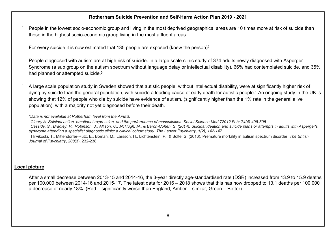- <sup>o</sup> People in the lowest socio-economic group and living in the most deprived geographical areas are 10 times more at risk of suicide than those in the highest socio-economic group living in the most affluent areas.
- $\degree$  For every suicide it is now estimated that 135 people are exposed (knew the person)<sup>2</sup>
- <sup>o</sup> People diagnosed with autism are at high risk of suicide. In a large scale clinic study of 374 adults newly diagnosed with Asperger Syndrome (a sub group on the autism spectrum without language delay or intellectual disability), 66% had contemplated suicide, and 35% had planned or attempted suicide.<sup>3</sup>
- A large scale population study in Sweden showed that autistic people, without intellectual disability, were at significantly higher risk of dying by suicide than the general population, with suicide a leading cause of early death for autistic people.<sup>1</sup> An ongoing study in the UK is showing that 12% of people who die by suicide have evidence of autism, (significantly higher than the 1% rate in the general alive population), with a majority not yet diagnosed before their death.

#### *\*Data is not available at Rotherham level from the APMS.*

Cleary A. Suicidal action, emotional expression, and the performance of masculinities, Social Science Med.72012 Feb: 74(4):498-505. Cassidy, S., Bradley, P., Robinson, J., Allison, C., McHugh, M., & Baron-Cohen, S. (2014). Suicidal ideation and suicide plans or attempts in adults with Asperger's *syndrome attending a specialist diagnostic clinic: a clinical cohort study. The Lancet Psychiatry, 1(2), 142-147.* Hirvikoski, T., Mittendorfer-Rutz, E., Boman, M., Larsson, H., Lichtenstein, P., & Bölte, S. (2016). Premature mortality in autism spectrum disorder. *The British Journal of Psychiatry*, *208*(3), 232-238.

## **Local picture**

 After a small decrease between 2013-15 and 2014-16, the 3-year directly age-standardised rate (DSR) increased from 13.9 to 15.9 deaths per 100,000 between 2014-16 and 2015-17. The latest data for 2016 – 2018 shows that this has now dropped to 13.1 deaths per 100,000 a decrease of nearly 18%. (Red = significantly worse than England, Amber = similar, Green = Better)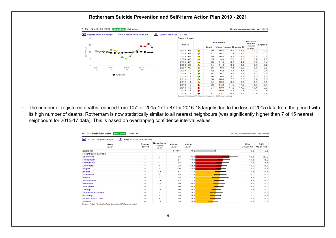

<sup>o</sup> The number of registered deaths reduced from 107 for 2015-17 to 87 for 2016-18 largely due to the loss of 2015 data from the period with its high number of deaths. Rotherham is now statistically similar to all nearest neighbours (was significantly higher than 7 of 15 nearest neighbours for 2015-17 data). This is based on overlapping confidence interval values.

| 圡<br><b>A</b><br>Export table as image | Export table as CSV file        |                                |             |                    |                          |                        |
|----------------------------------------|---------------------------------|--------------------------------|-------------|--------------------|--------------------------|------------------------|
| Area<br>AV                             | <b>Recent</b><br><b>Trend</b>   | <b>Neighbour</b><br>Rank<br>AV | Count<br>AV | <b>Value</b><br>AV | 95%<br><b>Lower CI</b>   | 95%<br><b>Upper CI</b> |
| <b>England</b>                         | $\hspace{0.1mm}-\hspace{0.1mm}$ | $\blacksquare$                 | 14,047      | 9.6                | 9.5                      | 9.8                    |
| Neighbours average                     | $\hspace{0.1mm}-\hspace{0.1mm}$ | $\overline{a}$                 | ٠           | $\overline{a}$     | $\overline{\phantom{0}}$ | ٠                      |
| <b>St. Helens</b>                      | $\qquad \qquad \blacksquare$    | $\overline{2}$                 | 75          | 16.1               | 12.6                     | 20.2                   |
| Rotherham                              | $\hspace{0.1mm}-\hspace{0.1mm}$ | $\overline{a}$                 | 87          | 13.1               | 10.5                     | 16.2                   |
| Calderdale                             | $\hspace{0.1mm}-\hspace{0.1mm}$ | 10                             | 68          | 12.5               | 9.7                      | 15.8                   |
| <b>Doncaster</b>                       | $\overline{\phantom{a}}$        | $\mathbf{1}$                   | 98          | 12.3               | 10.0                     | 15.0                   |
| Wigan                                  | $\overline{\phantom{a}}$        | 5                              | 106         | 12.3               | 9.9                      | 14.6                   |
| <b>Bolton</b>                          | $\qquad \qquad \blacksquare$    | 13                             | 87          | 11.7               | 9.3                      | 14.4                   |
| Tameside                               | $\hspace{0.1mm}-\hspace{0.1mm}$ | 6                              | 68          | 11.6               | 9.0                      | 14.7                   |
| <b>Halton</b>                          | $\qquad \qquad \blacksquare$    | 9                              | 38          | 11.4               | 8.1                      | 15.7                   |
| Sunderland                             | $\qquad \qquad \blacksquare$    | 14                             | 82          | 11.1               | 8.8                      | 13.7                   |
| Rochdale                               | $\hspace{0.1mm}-\hspace{0.1mm}$ | 15                             | 59          | 10.9               | 8.3                      | 14.1                   |
| Wakefield                              | $\overline{\phantom{a}}$        | 4                              | 96          | 10.9               | 8.8                      | 13.3                   |
| <b>Dudley</b>                          | $\hspace{0.5cm}$                | 11                             | 80          | 9.7                | 7.7                      | 12.1                   |
| <b>Telford and Wrekin</b>              | $\hspace{0.1mm}-\hspace{0.1mm}$ | 8                              | 44          | 9.7                | 7.0                      | 13.0                   |
| <b>Barnsley</b>                        | $\qquad \qquad \blacksquare$    | 3                              | 59          | 9.2                | 7.0                      | 11.9                   |
| Stockton-on-Tees                       | $\hspace{0.1mm}-\hspace{0.1mm}$ | $\overline{7}$                 | 48          | 9.2                | 6.8                      | 12.3                   |
| Walsall                                | $\hspace{0.1mm}-\hspace{0.1mm}$ | 12                             | 59          | 8.2                | 6.2                      | 10.6                   |

Source: Public Health England (based on ONS source data

 $\circ$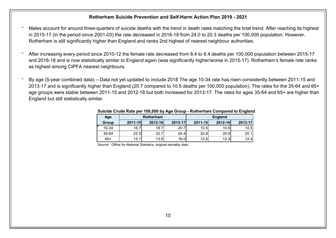- Males account for around three-quarters of suicide deaths with the trend in death rates matching the total trend. After reaching its highest in 2015-17 (in the period since 2001-03) the rate decreased in 2016-18 from 24.0 to 20.3 deaths per 100,000 population. However, Rotherham is still significantly higher than England and ranks 2nd highest of nearest neighbour authorities.
- After increasing every period since 2010-12 the female rate decreased from 8.4 to 6.4 deaths per 100,000 population between 2015-17 and 2016-18 and is now statistically similar to England again (was significantly higher/worse in 2015-17). Rotherham's female rate ranks as highest among CIPFA nearest neighbours.
- $\degree$  By age (5-year combined data) Data not yet updated to include 2018 The age 10-34 rate has risen consistently between 2011-15 and 2013-17 and is significantly higher than England (20.7 compared to 10.5 deaths per 100,000 population). The rates for the 35-64 and 65+ age groups were stable between 2011-15 and 2012-16 but both increased for 2013-17. The rates for ages 35-64 and 65+ are higher than England but still statistically similar.

|           |                  |         |         | <u>Udicide Order Rate per Too,000 by Age Order Fitulieriam Obilipated to England</u> |         |         |
|-----------|------------------|---------|---------|--------------------------------------------------------------------------------------|---------|---------|
| Age       | <b>Rotherham</b> |         |         | <b>England</b>                                                                       |         |         |
| Group     | $2011 - 15$      | 2012-16 | 2013-17 | 2011-15                                                                              | 2012-16 | 2013-17 |
| $10 - 34$ | 16.7             | 18.7    | 20.7    | 10.5                                                                                 | 10.6    | 10.5    |
| $35 - 64$ | 22.5             | 22.7    | 24.4    | 20.8l                                                                                | 20.6    | 20.1    |
| $65+$     | 13.1             | 13.6I   | 16.0    | 12.6I                                                                                | 12.4    | 12.4    |

#### **Suicide Crude Rate per 100,000 by Age Group - Rotherham Compared to England**

Source - Office for National Statistics, original mortality data.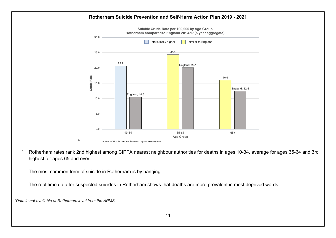

**Suicide Crude Rate per 100,000 by Age Group Rotherham compared to England 2013-17 (5 year aggregate)**

- Rotherham rates rank 2nd highest among CIPFA nearest neighbour authorities for deaths in ages 10-34, average for ages 35-64 and 3rd highest for ages 65 and over.
- <sup>o</sup> The most common form of suicide in Rotherham is by hanging.

 $\circ$ 

<sup>o</sup> The real time data for suspected suicides in Rotherham shows that deaths are more prevalent in most deprived wards.

*\*Data is not available at Rotherham level from the APMS.*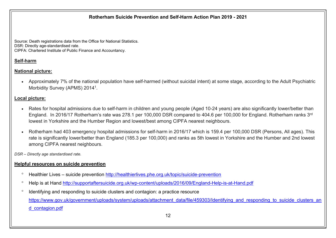Source: Death registrations data from the Office for National Statistics. DSR: Directly age-standardised rate. CIPFA: Chartered Institute of Public Finance and Accountancy.

## **Self-harm**

## **National picture:**

 Approximately 7% of the national population have self-harmed (without suicidal intent) at some stage, according to the Adult Psychiatric Morbidity Survey (APMS) 2014<sup>1</sup>.

## **Local picture:**

- Rates for hospital admissions due to self-harm in children and young people (Aged 10-24 years) are also significantly lower/better than England. In 2016/17 Rotherham's rate was 278.1 per 100,000 DSR compared to 404.6 per 100,000 for England. Rotherham ranks 3<sup>rd</sup> lowest in Yorkshire and the Humber Region and lowest/best among CIPFA nearest neighbours.
- Rotherham had 403 emergency hospital admissions for self-harm in 2016/17 which is 159.4 per 100,000 DSR (Persons, All ages). This rate is significantly lower/better than England (185.3 per 100,000) and ranks as 5th lowest in Yorkshire and the Humber and 2nd lowest among CIPFA nearest neighbours.

*DSR – Directly age standardised rate.*

## **Helpful resources on suicide prevention**

- <sup>o</sup> Healthier Lives suicide prevention <http://healthierlives.phe.org.uk/topic/suicide-prevention>
- Help is at Hand <http://supportaftersuicide.org.uk/wp-content/uploads/2016/09/England-Help-is-at-Hand.pdf>
- Identifying and responding to suicide clusters and contagion: a practice resource [https://www.gov.uk/government/uploads/system/uploads/attachment\\_data/file/459303/Identifying\\_and\\_responding\\_to\\_suicide\\_clusters\\_an](https://www.gov.uk/government/uploads/system/uploads/attachment_data/file/459303/Identifying_and_responding_to_suicide_clusters_and_contagion.pdf) [d\\_contagion.pdf](https://www.gov.uk/government/uploads/system/uploads/attachment_data/file/459303/Identifying_and_responding_to_suicide_clusters_and_contagion.pdf)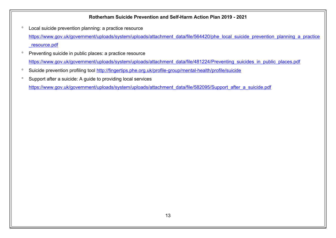- Local suicide prevention planning: a practice resource [https://www.gov.uk/government/uploads/system/uploads/attachment\\_data/file/564420/phe\\_local\\_suicide\\_prevention\\_planning\\_a\\_practice](https://www.gov.uk/government/uploads/system/uploads/attachment_data/file/564420/phe_local_suicide_prevention_planning_a_practice_resource.pdf) [\\_resource.pdf](https://www.gov.uk/government/uploads/system/uploads/attachment_data/file/564420/phe_local_suicide_prevention_planning_a_practice_resource.pdf)
- <sup>o</sup> Preventing suicide in public places: a practice resource [https://www.gov.uk/government/uploads/system/uploads/attachment\\_data/file/481224/Preventing\\_suicides\\_in\\_public\\_places.pdf](https://www.gov.uk/government/uploads/system/uploads/attachment_data/file/481224/Preventing_suicides_in_public_places.pdf)
- <sup>o</sup> Suicide prevention profiling tool <http://fingertips.phe.org.uk/profile-group/mental-health/profile/suicide>
- <sup>o</sup> Support after a suicide: A guide to providing local services

[https://www.gov.uk/government/uploads/system/uploads/attachment\\_data/file/582095/Support\\_after\\_a\\_suicide.pdf](https://www.gov.uk/government/uploads/system/uploads/attachment_data/file/582095/Support_after_a_suicide.pdf)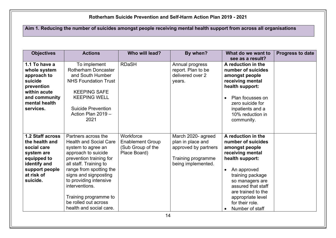Aim 1. Reducing the number of suicides amongst people receiving mental health support from across all organisations

| <b>Objectives</b>                                                                                                                          | <b>Actions</b>                                                                                                                                                                                                                                                                                                                     | Who will lead?                                                            | By when?                                                                                                    | What do we want to<br>see as a result?                                                                                                                                                                                                                                      | <b>Progress to date</b> |
|--------------------------------------------------------------------------------------------------------------------------------------------|------------------------------------------------------------------------------------------------------------------------------------------------------------------------------------------------------------------------------------------------------------------------------------------------------------------------------------|---------------------------------------------------------------------------|-------------------------------------------------------------------------------------------------------------|-----------------------------------------------------------------------------------------------------------------------------------------------------------------------------------------------------------------------------------------------------------------------------|-------------------------|
| 1.1 To have a<br>whole system<br>approach to<br>suicide<br>prevention<br>within acute<br>and community<br>mental health<br>services.       | To implement<br>Rotherham Doncaster<br>and South Humber<br><b>NHS Foundation Trust</b><br><b>KEEPING SAFE</b><br><b>KEEPING WELL</b><br><b>Suicide Prevention</b><br>Action Plan 2019 -<br>2021                                                                                                                                    | <b>RDaSH</b>                                                              | Annual progress<br>report. Plan to be<br>delivered over 2<br>years.                                         | A reduction in the<br>number of suicides<br>amongst people<br>receiving mental<br>health support:<br>Plan focusses on<br>$\bullet$<br>zero suicide for<br>inpatients and a<br>10% reduction in<br>community.                                                                |                         |
| 1.2 Staff across<br>the health and<br>social care<br>system are<br>equipped to<br>identify and<br>support people<br>at risk of<br>suicide. | Partners across the<br><b>Health and Social Care</b><br>system to agree an<br>approach to suicide<br>prevention training for<br>all staff. Training to<br>range from spotting the<br>signs and signposting<br>to providing intensive<br>interventions.<br>Training programme to<br>be rolled out across<br>health and social care. | Workforce<br><b>Enablement Group</b><br>(Sub Group of the<br>Place Board) | March 2020- agreed<br>plan in place and<br>approved by partners<br>Training programme<br>being implemented. | A reduction in the<br>number of suicides<br>amongst people<br>receiving mental<br>health support:<br>An approved<br>$\bullet$<br>training package<br>so managers are<br>assured that staff<br>are trained to the<br>appropriate level<br>for their role.<br>Number of staff |                         |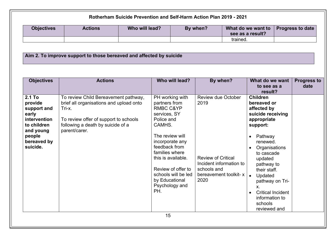|                                                                                                                            |                                                                                                                                                                                          |                | Rotherham Suicide Prevention and Self-Harm Action Plan 2019 - 2021                                                                                                                                                                                                                      |                                                          |                                                                               |                                                                                                                                                                                                                                                                                                                                                  |                            |
|----------------------------------------------------------------------------------------------------------------------------|------------------------------------------------------------------------------------------------------------------------------------------------------------------------------------------|----------------|-----------------------------------------------------------------------------------------------------------------------------------------------------------------------------------------------------------------------------------------------------------------------------------------|----------------------------------------------------------|-------------------------------------------------------------------------------|--------------------------------------------------------------------------------------------------------------------------------------------------------------------------------------------------------------------------------------------------------------------------------------------------------------------------------------------------|----------------------------|
| <b>Objectives</b>                                                                                                          | <b>Actions</b>                                                                                                                                                                           | Who will lead? |                                                                                                                                                                                                                                                                                         | By when?                                                 |                                                                               | What do we want to<br>see as a result?                                                                                                                                                                                                                                                                                                           | <b>Progress to date</b>    |
|                                                                                                                            |                                                                                                                                                                                          |                |                                                                                                                                                                                                                                                                                         |                                                          | trained.                                                                      |                                                                                                                                                                                                                                                                                                                                                  |                            |
|                                                                                                                            | Aim 2. To improve support to those bereaved and affected by suicide                                                                                                                      |                |                                                                                                                                                                                                                                                                                         |                                                          |                                                                               |                                                                                                                                                                                                                                                                                                                                                  |                            |
| <b>Objectives</b>                                                                                                          | <b>Actions</b>                                                                                                                                                                           |                | Who will lead?                                                                                                                                                                                                                                                                          |                                                          | By when?                                                                      | What do we want<br>to see as a<br>result?                                                                                                                                                                                                                                                                                                        | <b>Progress to</b><br>date |
| 2.1 To<br>provide<br>support and<br>early<br>intervention<br>to children<br>and young<br>people<br>bereaved by<br>suicide. | To review Child Bereavement pathway,<br>brief all organisations and upload onto<br>Tri-x.<br>To review offer of support to schools<br>following a death by suicide of a<br>parent/carer. |                | PH working with<br>partners from<br><b>RMBC C&amp;YP</b><br>services, SY<br>Police and<br>CAMHS.<br>The review will<br>incorporate any<br>feedback from<br>families where<br>this is available.<br>Review of offer to<br>schools will be led<br>by Educational<br>Psychology and<br>PH. | 2019<br><b>Review of Critical</b><br>schools and<br>2020 | <b>Review due October</b><br>Incident information to<br>bereavement toolkit-x | <b>Children</b><br>bereaved or<br>affected by<br>suicide receiving<br>appropriate<br>support:<br>Pathway<br>renewed.<br>Organisations<br>$\bullet$<br>to cascade<br>updated<br>pathway to<br>their staff.<br>Updated<br>$\bullet$<br>pathway on Tri-<br>Χ.<br><b>Critical Incident</b><br>$\bullet$<br>information to<br>schools<br>reviewed and |                            |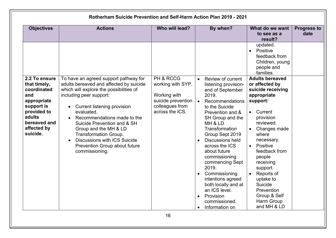| <b>Objectives</b>                                                                                                                                    | <b>Actions</b>                                                                                                                                                                                                                                                                                                                                                                                                | Who will lead?                                                                                             | By when?                                                                                                                                                                                                                                                                                                                                                                                                                                                                                                     | What do we want<br>to see as a<br>result?                                                                                                                                                                                                                                                                                                                                                                                                                                  | <b>Progress to</b><br>date |
|------------------------------------------------------------------------------------------------------------------------------------------------------|---------------------------------------------------------------------------------------------------------------------------------------------------------------------------------------------------------------------------------------------------------------------------------------------------------------------------------------------------------------------------------------------------------------|------------------------------------------------------------------------------------------------------------|--------------------------------------------------------------------------------------------------------------------------------------------------------------------------------------------------------------------------------------------------------------------------------------------------------------------------------------------------------------------------------------------------------------------------------------------------------------------------------------------------------------|----------------------------------------------------------------------------------------------------------------------------------------------------------------------------------------------------------------------------------------------------------------------------------------------------------------------------------------------------------------------------------------------------------------------------------------------------------------------------|----------------------------|
| 2.2 To ensure<br>that timely,<br>coordinated<br>and<br>appropriate<br>support is<br>provided to<br>adults<br>bereaved and<br>affected by<br>suicide. | To have an agreed support pathway for<br>adults bereaved and affected by suicide<br>which will explore the possibilities of<br>including peer support:<br>Current listening provision<br>evaluated.<br>Recommendations made to the<br>Suicide Prevention and & SH<br>Group and the MH & LD<br>Transformation Group.<br><b>Discussions with ICS Suicide</b><br>Prevention Group about future<br>commissioning. | PH & RCCG<br>working with SYP.<br>Working with<br>suicide prevention<br>colleagues from<br>across the ICS. | Review of current<br>$\bullet$<br>listening provision-<br>end of September<br>2019.<br>Recommendations<br>$\bullet$<br>to the Suicide<br>Prevention and &<br>SH Group and the<br>MH & LD<br>Transformation<br>Group Sept 2019<br><b>Discussions held</b><br>$\bullet$<br>across the ICS<br>about future<br>commissioning<br>commencing Sept<br>2019.<br>Commissioning<br>intentions agreed<br>both locally and at<br>an ICS level.<br>Provision<br>$\bullet$<br>commissioned.<br>Information on<br>$\bullet$ | updated.<br>Positive<br>$\bullet$<br>feedback from<br>Children, young<br>people and<br>families.<br><b>Adults bereaved</b><br>or affected by<br>suicide receiving<br>appropriate<br>support:<br>Current<br>$\bullet$<br>provision<br>reviewed.<br>Changes made<br>where<br>necessary.<br>Positive<br>$\bullet$<br>feedback from<br>people<br>receiving<br>support.<br>Reports of<br>uptake to<br>Suicide<br><b>Prevention</b><br>Group & Self<br>Harm Group<br>and MH & LD |                            |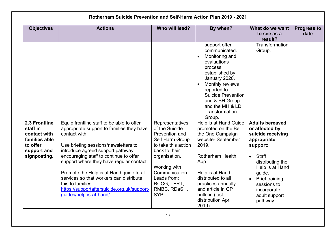| <b>Objectives</b>                                                                                     | <b>Actions</b>                                                                                                                                                                                                                                                                                                                                                   | Who will lead?                                                                                                                                                                  | By when?                                                                                                                                                                                                                                      | What do we want<br>to see as a<br>result?                                                                                                                       | <b>Progress to</b><br>date |
|-------------------------------------------------------------------------------------------------------|------------------------------------------------------------------------------------------------------------------------------------------------------------------------------------------------------------------------------------------------------------------------------------------------------------------------------------------------------------------|---------------------------------------------------------------------------------------------------------------------------------------------------------------------------------|-----------------------------------------------------------------------------------------------------------------------------------------------------------------------------------------------------------------------------------------------|-----------------------------------------------------------------------------------------------------------------------------------------------------------------|----------------------------|
|                                                                                                       |                                                                                                                                                                                                                                                                                                                                                                  |                                                                                                                                                                                 | support offer<br>communicated.<br>Monitoring and<br>evaluations<br>process<br>established by<br>January 2020.<br>Monthly reviews<br>reported to<br><b>Suicide Prevention</b><br>and & SH Group<br>and the MH & LD<br>Transformation<br>Group. | Transformation<br>Group.                                                                                                                                        |                            |
| 2.3 Frontline<br>staff in<br>contact with<br>families able<br>to offer<br>support and<br>signposting. | Equip frontline staff to be able to offer<br>appropriate support to families they have<br>contact with:<br>Use briefing sessions/newsletters to<br>introduce agreed support pathway<br>encouraging staff to continue to offer<br>support where they have regular contact.<br>Promote the Help is at Hand guide to all<br>services so that workers can distribute | Representatives<br>of the Suicide<br>Prevention and<br>Self Harm Group<br>to take this action<br>back to their<br>organisation.<br>Working with<br>Communication<br>Leads from: | Help is at Hand Guide<br>promoted on the Be<br>the One Campaign<br>website-September<br>2019.<br><b>Rotherham Health</b><br>App<br>Help is at Hand<br>distributed to all                                                                      | <b>Adults bereaved</b><br>or affected by<br>suicide receiving<br>appropriate<br>support:<br>Staff<br>$\bullet$<br>distributing the<br>Help is at Hand<br>guide. |                            |
|                                                                                                       | this to families:<br>https://supportaftersuicide.org.uk/support-<br>guides/help-is-at-hand/                                                                                                                                                                                                                                                                      | RCCG, TFRT,<br>RMBC, RDaSH,<br><b>SYP</b>                                                                                                                                       | practices annually<br>and article in GP<br>bulletin (last<br>distribution April<br>2019).                                                                                                                                                     | <b>Brief training</b><br>sessions to<br>incorporate<br>adult support<br>pathway.                                                                                |                            |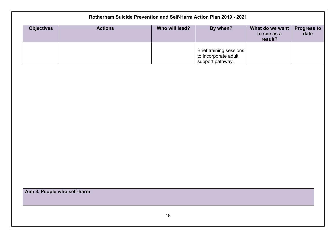|                   | Rotherham Suicide Prevention and Self-Harm Action Plan 2019 - 2021 |                |                                                                            |                                                       |                            |  |  |
|-------------------|--------------------------------------------------------------------|----------------|----------------------------------------------------------------------------|-------------------------------------------------------|----------------------------|--|--|
| <b>Objectives</b> | <b>Actions</b>                                                     | Who will lead? | By when?                                                                   | What do we want $\parallel$<br>to see as a<br>result? | <b>Progress to</b><br>date |  |  |
|                   |                                                                    |                | <b>Brief training sessions</b><br>to incorporate adult<br>support pathway. |                                                       |                            |  |  |

**Aim 3. People who self-harm**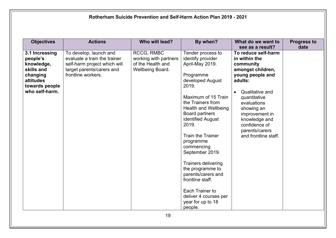| <b>Objectives</b>                                                                                                   | <b>Actions</b>                                                                                                                            | Who will lead?                                                                      | By when?                                                                                                                                                                                                                                                                                                                                                                                                                                                                         | What do we want to<br>see as a result?                                                                                                                                                                                                                              | <b>Progress to</b><br>date |
|---------------------------------------------------------------------------------------------------------------------|-------------------------------------------------------------------------------------------------------------------------------------------|-------------------------------------------------------------------------------------|----------------------------------------------------------------------------------------------------------------------------------------------------------------------------------------------------------------------------------------------------------------------------------------------------------------------------------------------------------------------------------------------------------------------------------------------------------------------------------|---------------------------------------------------------------------------------------------------------------------------------------------------------------------------------------------------------------------------------------------------------------------|----------------------------|
| 3.1 Increasing<br>people's<br>knowledge,<br>skills and<br>changing<br>attitudes<br>towards people<br>who self-harm. | To develop, launch and<br>evaluate a train the trainer<br>self-harm project which will<br>target parents/carers and<br>frontline workers. | <b>RCCG, RMBC</b><br>working with partners<br>of the Health and<br>Wellbeing Board. | Tender process to<br>identify provider<br>April-May 2019.<br>Programme<br>developed August<br>2019.<br>Maximum of 15 Train<br>the Trainers from<br><b>Health and Wellbeing</b><br>Board partners<br>identified August<br>2019.<br><b>Train the Trainer</b><br>programme<br>commencing<br>September 2019.<br><b>Trainers delivering</b><br>the programme to<br>parents/carers and<br>frontline staff.<br>Each Trainer to<br>deliver 4 courses per<br>year for up to 18<br>people. | To reduce self-harm<br>in within the<br>community<br>amongst children,<br>young people and<br>adults:<br>Qualitative and<br>quantitative<br>evaluations<br>showing an<br>improvement in<br>knowledge and<br>confidence of<br>parents/carers<br>and frontline staff. |                            |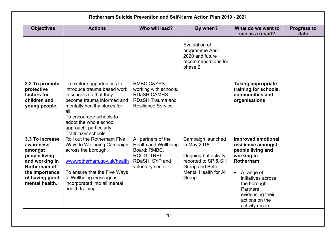|                                                                                                                                                  | Rotherham Suicide Prevention and Self-Harm Action Plan 2019 - 2021                                                                                                                                                                                                |                                                                                                                          |                                                                                                                                                |                                                                                                                                                                                                                                            |                            |  |
|--------------------------------------------------------------------------------------------------------------------------------------------------|-------------------------------------------------------------------------------------------------------------------------------------------------------------------------------------------------------------------------------------------------------------------|--------------------------------------------------------------------------------------------------------------------------|------------------------------------------------------------------------------------------------------------------------------------------------|--------------------------------------------------------------------------------------------------------------------------------------------------------------------------------------------------------------------------------------------|----------------------------|--|
| <b>Objectives</b>                                                                                                                                | <b>Actions</b>                                                                                                                                                                                                                                                    | Who will lead?                                                                                                           | By when?                                                                                                                                       | What do we want to<br>see as a result?                                                                                                                                                                                                     | <b>Progress to</b><br>date |  |
|                                                                                                                                                  |                                                                                                                                                                                                                                                                   |                                                                                                                          | Evaluation of<br>programme April<br>2020 and future<br>recommendations for<br>phase 2.                                                         |                                                                                                                                                                                                                                            |                            |  |
| 3.2 To promote<br>protective<br>factors for<br>children and<br>young people.                                                                     | To explore opportunities to<br>introduce trauma based work<br>in schools so that they<br>become trauma informed and<br>mentally healthy places for<br>all.<br>To encourage schools to<br>adopt the whole school<br>approach, particularly<br>Trailblazer schools. | <b>RMBC C&amp;YPS</b><br>working with schools.<br><b>RDaSH CAMHS</b><br><b>RDaSH Trauma and</b><br>Resilience Service.   |                                                                                                                                                | <b>Taking appropriate</b><br>training for schools,<br>communities and<br>organisations                                                                                                                                                     |                            |  |
| 3.3 To increase<br>awareness<br>amongst<br>people living<br>and working in<br>Rotherham of<br>the importance<br>of having good<br>mental health. | Roll out the Rotherham Five<br>Ways to Wellbeing Campaign<br>across the borough.<br>www.rotherham.gov.uk/health<br>To ensure that the Five Ways<br>to Wellbeing message is<br>incorporated into all mental<br>health training.                                    | All partners of the<br><b>Health and Wellbeing</b><br>Board: RMBC,<br>RCCG. TRFT,<br>RDaSH, SYP and<br>voluntary sector. | Campaign launched<br>in May 2018.<br>Ongoing but activity<br>reported to SP & SH<br>Group and Better<br><b>Mental Health for All</b><br>Group. | <b>Improved emotional</b><br>resilience amongst<br>people living and<br>working in<br>Rotherham:<br>$\bullet$ A range of<br>initiatives across<br>the borough.<br><b>Partners</b><br>evidencing their<br>actions on the<br>activity record |                            |  |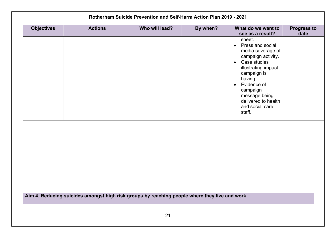| <b>Objectives</b> | <b>Actions</b> | Who will lead? | By when? | What do we want to<br>see as a result?                                                                                                                                                                                                                             | <b>Progress to</b><br>date |
|-------------------|----------------|----------------|----------|--------------------------------------------------------------------------------------------------------------------------------------------------------------------------------------------------------------------------------------------------------------------|----------------------------|
|                   |                |                |          | sheet.<br>Press and social<br>$\bullet$<br>media coverage of<br>campaign activity.<br>• Case studies<br>illustrating impact<br>campaign is<br>having.<br>Evidence of<br>$\bullet$<br>campaign<br>message being<br>delivered to health<br>and social care<br>staff. |                            |
|                   |                |                |          |                                                                                                                                                                                                                                                                    |                            |
|                   |                |                |          |                                                                                                                                                                                                                                                                    |                            |
|                   |                |                |          |                                                                                                                                                                                                                                                                    |                            |
|                   |                |                |          |                                                                                                                                                                                                                                                                    |                            |
|                   |                |                |          |                                                                                                                                                                                                                                                                    |                            |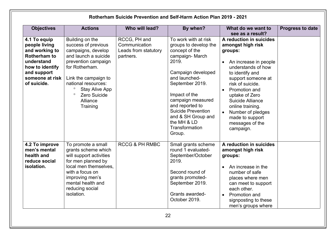| <b>Objectives</b>                                                                                                                                        | <b>Actions</b>                                                                                                                                                                                                                                               | Who will lead?                                                     | By when?                                                                                                                                                                                                                                                                                                    | What do we want to<br>see as a result?                                                                                                                                                                                                                                                                                              | <b>Progress to date</b> |
|----------------------------------------------------------------------------------------------------------------------------------------------------------|--------------------------------------------------------------------------------------------------------------------------------------------------------------------------------------------------------------------------------------------------------------|--------------------------------------------------------------------|-------------------------------------------------------------------------------------------------------------------------------------------------------------------------------------------------------------------------------------------------------------------------------------------------------------|-------------------------------------------------------------------------------------------------------------------------------------------------------------------------------------------------------------------------------------------------------------------------------------------------------------------------------------|-------------------------|
| 4.1 To equip<br>people living<br>and working to<br><b>Rotherham to</b><br>understand<br>how to identify<br>and support<br>someone at risk<br>of suicide. | Building on the<br>success of previous<br>campaigns, develop<br>and launch a suicide<br>prevention campaign<br>for Rotherham.<br>Link the campaign to<br>national resources:<br>$\circ$<br>Stay Alive App<br>$\circ$<br>Zero Suicide<br>Alliance<br>Training | RCCG, PH and<br>Communication<br>Leads from statutory<br>partners. | To work with at risk<br>groups to develop the<br>concept of the<br>campaign-March<br>2019.<br>Campaign developed<br>and launched-<br>September 2019.<br>Impact of the<br>campaign measured<br>and reported to<br><b>Suicide Prevention</b><br>and & SH Group and<br>the MH & LD<br>Transformation<br>Group. | A reduction in suicides<br>amongst high risk<br>groups:<br>An increase in people<br>understands of how<br>to identify and<br>support someone at<br>risk of suicide.<br>Promotion and<br>uptake of Zero<br>Suicide Alliance<br>online training.<br>Number of pledges<br>$\bullet$<br>made to support<br>messages of the<br>campaign. |                         |
| 4.2 To improve<br>men's mental<br>health and<br>reduce social<br>isolation.                                                                              | To promote a small<br>grants scheme which<br>will support activities<br>for men planned by<br>local men themselves.<br>with a focus on<br>improving men's<br>mental health and<br>reducing social<br>isolation.                                              | <b>RCCG &amp; PH RMBC</b>                                          | Small grants scheme<br>round 1 evaluated-<br>September/October<br>2019.<br>Second round of<br>grants promoted-<br>September 2019.<br>Grants awarded-<br>October 2019.                                                                                                                                       | A reduction in suicides<br>amongst high risk<br>groups:<br>An increase in the<br>number of safe<br>places where men<br>can meet to support<br>each other.<br>Promotion and<br>$\bullet$<br>signposting to these<br>men's groups where                                                                                               |                         |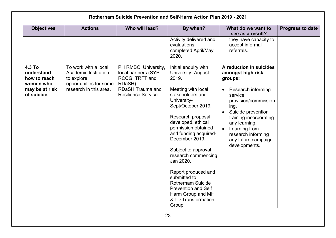| <b>Objectives</b>                                                                  | <b>Actions</b>                                                                                                 | Who will lead?                                                                                                             | By when?                                                                                                                                                                                                                                                                                                                                                                                                                                                                 | What do we want to<br>see as a result?                                                                                                                                                                                                                                                                          | <b>Progress to date</b> |
|------------------------------------------------------------------------------------|----------------------------------------------------------------------------------------------------------------|----------------------------------------------------------------------------------------------------------------------------|--------------------------------------------------------------------------------------------------------------------------------------------------------------------------------------------------------------------------------------------------------------------------------------------------------------------------------------------------------------------------------------------------------------------------------------------------------------------------|-----------------------------------------------------------------------------------------------------------------------------------------------------------------------------------------------------------------------------------------------------------------------------------------------------------------|-------------------------|
|                                                                                    |                                                                                                                |                                                                                                                            | Activity delivered and<br>evaluations<br>completed April/May<br>2020.                                                                                                                                                                                                                                                                                                                                                                                                    | they have capacity to<br>accept informal<br>referrals.                                                                                                                                                                                                                                                          |                         |
| 4.3 To<br>understand<br>how to reach<br>women who<br>may be at risk<br>of suicide. | To work with a local<br>Academic Institution<br>to explore<br>opportunities for some<br>research in this area. | PH RMBC, University,<br>local partners (SYP,<br>RCCG, TRFT and<br>RDaSH)<br><b>RDaSH Trauma and</b><br>Resilience Service. | Initial enquiry with<br><b>University-August</b><br>2019.<br>Meeting with local<br>stakeholders and<br>University-<br>Sept/October 2019.<br>Research proposal<br>developed, ethical<br>permission obtained<br>and funding acquired-<br>December 2019.<br>Subject to approval,<br>research commencing<br>Jan 2020.<br>Report produced and<br>submitted to<br><b>Rotherham Suicide</b><br><b>Prevention and Self</b><br>Harm Group and MH<br>& LD Transformation<br>Group. | A reduction in suicides<br>amongst high risk<br>groups:<br>Research informing<br>$\bullet$<br>service<br>provision/commission<br>ing.<br>Suicide prevention<br>$\bullet$<br>training incorporating<br>any learning.<br>Learning from<br>$\bullet$<br>research informing<br>any future campaign<br>developments. |                         |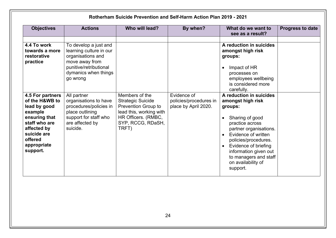| <b>Objectives</b>                                                                                                                                                   | <b>Actions</b>                                                                                                                                        | Who will lead?                                                                                                                                    | By when?                                                      | What do we want to<br>see as a result?                                                                                                                                                                                                                                                                       | <b>Progress to date</b> |
|---------------------------------------------------------------------------------------------------------------------------------------------------------------------|-------------------------------------------------------------------------------------------------------------------------------------------------------|---------------------------------------------------------------------------------------------------------------------------------------------------|---------------------------------------------------------------|--------------------------------------------------------------------------------------------------------------------------------------------------------------------------------------------------------------------------------------------------------------------------------------------------------------|-------------------------|
| 4.4 To work<br>towards a more<br>restorative<br>practice                                                                                                            | To develop a just and<br>learning culture in our<br>organisations and<br>move away from<br>punitive/retributional<br>dymanics when things<br>go wrong |                                                                                                                                                   |                                                               | A reduction in suicides<br>amongst high risk<br>groups:<br>Impact of HR<br>processes on<br>employees wellbeing<br>is considered more<br>carefully.                                                                                                                                                           |                         |
| 4.5 For partners<br>of the H&WB to<br>lead by good<br>example<br>ensuring that<br>staff who are<br>affected by<br>suicide are<br>offered<br>appropriate<br>support. | All partner<br>organisations to have<br>procedures/policies in<br>place outlining<br>support for staff who<br>are affected by<br>suicide.             | Members of the<br><b>Strategic Suicide</b><br>Prevention Group to<br>lead this, working with<br>HR Officers. (RMBC,<br>SYP, RCCG, RDaSH,<br>TRFT) | Evidence of<br>policies/procedures in<br>place by April 2020. | A reduction in suicides<br>amongst high risk<br>groups:<br>Sharing of good<br>practice across<br>partner organisations.<br>Evidence of written<br>$\bullet$<br>policies/procedures.<br>Evidence of briefing<br>$\bullet$<br>information given out<br>to managers and staff<br>on availability of<br>support. |                         |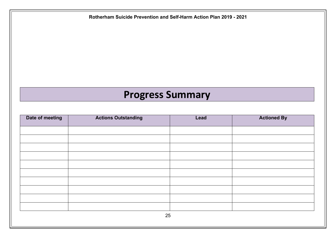# **Progress Summary**

| Date of meeting | <b>Actions Outstanding</b> | Lead | <b>Actioned By</b> |  |
|-----------------|----------------------------|------|--------------------|--|
|                 |                            |      |                    |  |
|                 |                            |      |                    |  |
|                 |                            |      |                    |  |
|                 |                            |      |                    |  |
|                 |                            |      |                    |  |
|                 |                            |      |                    |  |
|                 |                            |      |                    |  |
|                 |                            |      |                    |  |
|                 |                            |      |                    |  |
|                 |                            |      |                    |  |
| 25              |                            |      |                    |  |